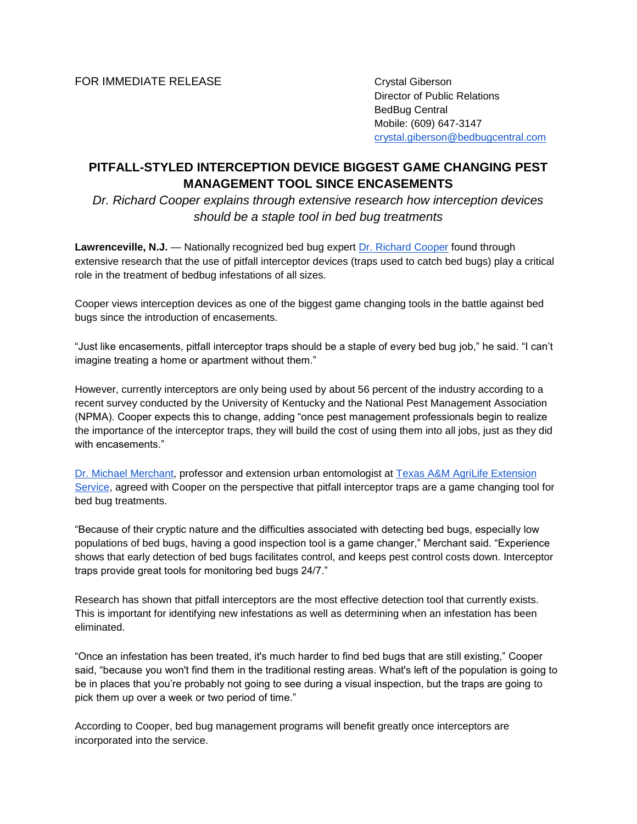Director of Public Relations BedBug Central Mobile: (609) 647-3147 [crystal.giberson@bedbugcentral.com](mailto:crystal.giberson@bedbugcentral.com)

# **PITFALL-STYLED INTERCEPTION DEVICE BIGGEST GAME CHANGING PEST MANAGEMENT TOOL SINCE ENCASEMENTS**

*Dr. Richard Cooper explains through extensive research how interception devices should be a staple tool in bed bug treatments*

**Lawrenceville, N.J.** — Nationally recognized bed bug expert [Dr. Richard Cooper](http://bedbugcentral.com/about/richard-cooper) found through extensive research that the use of pitfall interceptor devices (traps used to catch bed bugs) play a critical role in the treatment of bedbug infestations of all sizes.

Cooper views interception devices as one of the biggest game changing tools in the battle against bed bugs since the introduction of encasements.

"Just like encasements, pitfall interceptor traps should be a staple of every bed bug job," he said. "I can't imagine treating a home or apartment without them."

However, currently interceptors are only being used by about 56 percent of the industry according to a recent survey conducted by the University of Kentucky and the National Pest Management Association (NPMA). Cooper expects this to change, adding "once pest management professionals begin to realize the importance of the interceptor traps, they will build the cost of using them into all jobs, just as they did with encasements."

[Dr. Michael Merchant,](https://dallas.tamu.edu/faculty-and-staff/faculty/mike-merchant/) professor and extension urban entomologist at [Texas A&M AgriLife Extension](http://agrilifeextension.tamu.edu/)  [Service,](http://agrilifeextension.tamu.edu/) agreed with Cooper on the perspective that pitfall interceptor traps are a game changing tool for bed bug treatments.

"Because of their cryptic nature and the difficulties associated with detecting bed bugs, especially low populations of bed bugs, having a good inspection tool is a game changer," Merchant said. "Experience shows that early detection of bed bugs facilitates control, and keeps pest control costs down. Interceptor traps provide great tools for monitoring bed bugs 24/7."

Research has shown that pitfall interceptors are the most effective detection tool that currently exists. This is important for identifying new infestations as well as determining when an infestation has been eliminated.

"Once an infestation has been treated, it's much harder to find bed bugs that are still existing," Cooper said, "because you won't find them in the traditional resting areas. What's left of the population is going to be in places that you're probably not going to see during a visual inspection, but the traps are going to pick them up over a week or two period of time."

According to Cooper, bed bug management programs will benefit greatly once interceptors are incorporated into the service.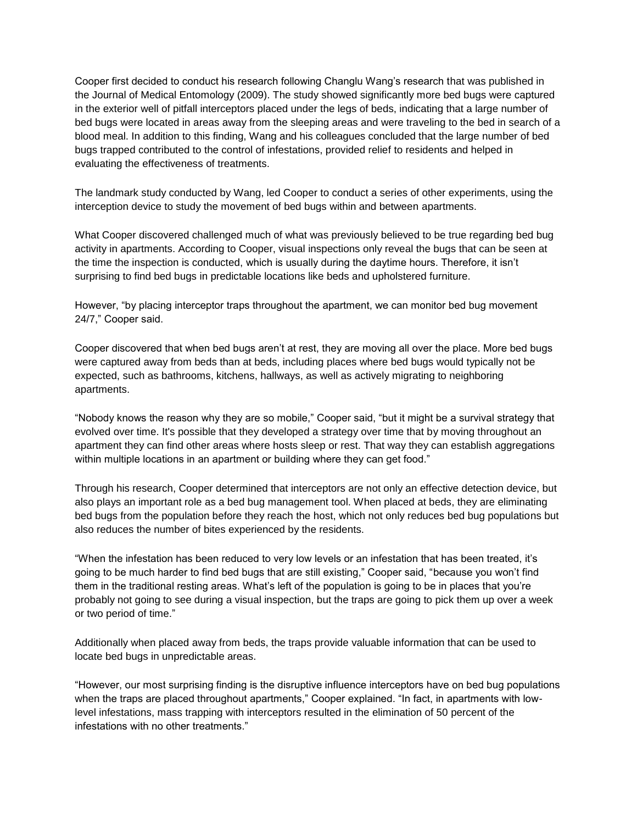Cooper first decided to conduct his research following Changlu Wang's research that was published in the Journal of Medical Entomology (2009). The study showed significantly more bed bugs were captured in the exterior well of pitfall interceptors placed under the legs of beds, indicating that a large number of bed bugs were located in areas away from the sleeping areas and were traveling to the bed in search of a blood meal. In addition to this finding, Wang and his colleagues concluded that the large number of bed bugs trapped contributed to the control of infestations, provided relief to residents and helped in evaluating the effectiveness of treatments.

The landmark study conducted by Wang, led Cooper to conduct a series of other experiments, using the interception device to study the movement of bed bugs within and between apartments.

What Cooper discovered challenged much of what was previously believed to be true regarding bed bug activity in apartments. According to Cooper, visual inspections only reveal the bugs that can be seen at the time the inspection is conducted, which is usually during the daytime hours. Therefore, it isn't surprising to find bed bugs in predictable locations like beds and upholstered furniture.

However, "by placing interceptor traps throughout the apartment, we can monitor bed bug movement 24/7," Cooper said.

Cooper discovered that when bed bugs aren't at rest, they are moving all over the place. More bed bugs were captured away from beds than at beds, including places where bed bugs would typically not be expected, such as bathrooms, kitchens, hallways, as well as actively migrating to neighboring apartments.

"Nobody knows the reason why they are so mobile," Cooper said, "but it might be a survival strategy that evolved over time. It's possible that they developed a strategy over time that by moving throughout an apartment they can find other areas where hosts sleep or rest. That way they can establish aggregations within multiple locations in an apartment or building where they can get food."

Through his research, Cooper determined that interceptors are not only an effective detection device, but also plays an important role as a bed bug management tool. When placed at beds, they are eliminating bed bugs from the population before they reach the host, which not only reduces bed bug populations but also reduces the number of bites experienced by the residents.

"When the infestation has been reduced to very low levels or an infestation that has been treated, it's going to be much harder to find bed bugs that are still existing," Cooper said, "because you won't find them in the traditional resting areas. What's left of the population is going to be in places that you're probably not going to see during a visual inspection, but the traps are going to pick them up over a week or two period of time."

Additionally when placed away from beds, the traps provide valuable information that can be used to locate bed bugs in unpredictable areas.

"However, our most surprising finding is the disruptive influence interceptors have on bed bug populations when the traps are placed throughout apartments," Cooper explained. "In fact, in apartments with lowlevel infestations, mass trapping with interceptors resulted in the elimination of 50 percent of the infestations with no other treatments."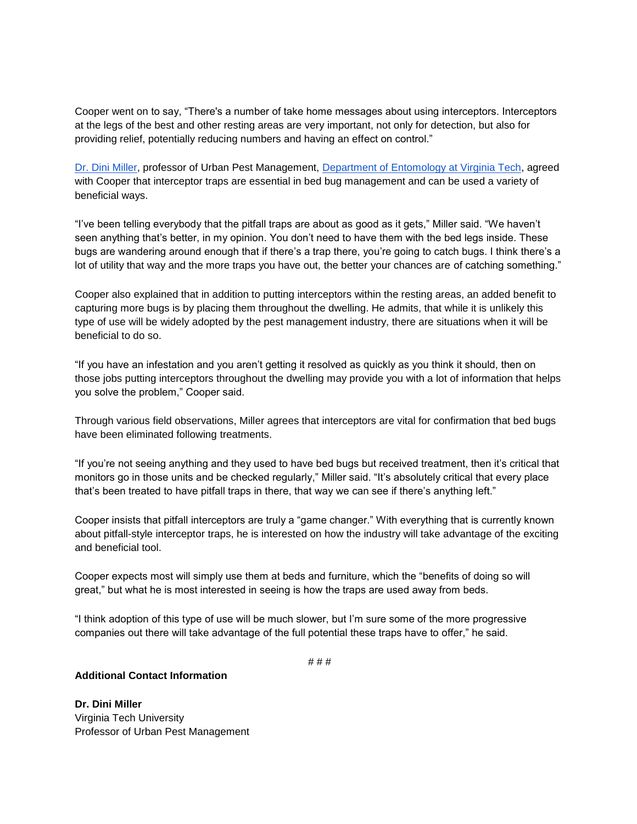Cooper went on to say, "There's a number of take home messages about using interceptors. Interceptors at the legs of the best and other resting areas are very important, not only for detection, but also for providing relief, potentially reducing numbers and having an effect on control."

[Dr. Dini Miller,](http://www.ento.vt.edu/people/tenure/miller-dini/) professor of Urban Pest Management, [Department of Entomology at Virginia Tech,](http://www.ento.vt.edu/index.html) agreed with Cooper that interceptor traps are essential in bed bug management and can be used a variety of beneficial ways.

"I've been telling everybody that the pitfall traps are about as good as it gets," Miller said. "We haven't seen anything that's better, in my opinion. You don't need to have them with the bed legs inside. These bugs are wandering around enough that if there's a trap there, you're going to catch bugs. I think there's a lot of utility that way and the more traps you have out, the better your chances are of catching something."

Cooper also explained that in addition to putting interceptors within the resting areas, an added benefit to capturing more bugs is by placing them throughout the dwelling. He admits, that while it is unlikely this type of use will be widely adopted by the pest management industry, there are situations when it will be beneficial to do so.

"If you have an infestation and you aren't getting it resolved as quickly as you think it should, then on those jobs putting interceptors throughout the dwelling may provide you with a lot of information that helps you solve the problem," Cooper said.

Through various field observations, Miller agrees that interceptors are vital for confirmation that bed bugs have been eliminated following treatments.

"If you're not seeing anything and they used to have bed bugs but received treatment, then it's critical that monitors go in those units and be checked regularly," Miller said. "It's absolutely critical that every place that's been treated to have pitfall traps in there, that way we can see if there's anything left."

Cooper insists that pitfall interceptors are truly a "game changer." With everything that is currently known about pitfall-style interceptor traps, he is interested on how the industry will take advantage of the exciting and beneficial tool.

Cooper expects most will simply use them at beds and furniture, which the "benefits of doing so will great," but what he is most interested in seeing is how the traps are used away from beds.

"I think adoption of this type of use will be much slower, but I'm sure some of the more progressive companies out there will take advantage of the full potential these traps have to offer," he said.

# # #

### **Additional Contact Information**

**Dr. Dini Miller** Virginia Tech University Professor of Urban Pest Management